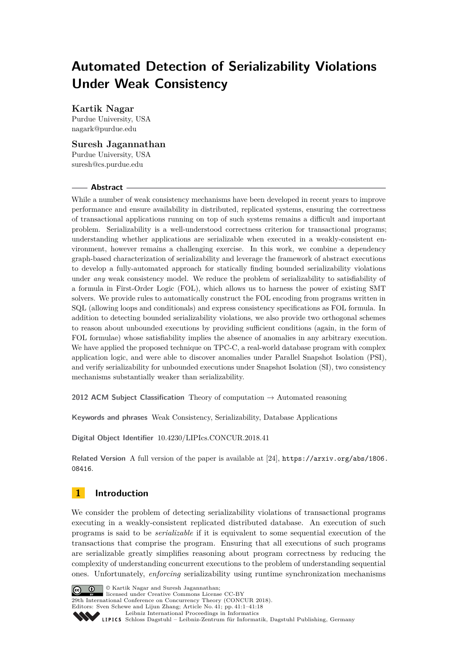# **Automated Detection of Serializability Violations Under Weak Consistency**

# **Kartik Nagar**

Purdue University, USA [nagark@purdue.edu](mailto:nagark@purdue.edu)

# **Suresh Jagannathan**

Purdue University, USA [suresh@cs.purdue.edu](mailto:suresh@cs.purdue.edu)

## **Abstract**

While a number of weak consistency mechanisms have been developed in recent years to improve performance and ensure availability in distributed, replicated systems, ensuring the correctness of transactional applications running on top of such systems remains a difficult and important problem. Serializability is a well-understood correctness criterion for transactional programs; understanding whether applications are serializable when executed in a weakly-consistent environment, however remains a challenging exercise. In this work, we combine a dependency graph-based characterization of serializability and leverage the framework of abstract executions to develop a fully-automated approach for statically finding bounded serializability violations under *any* weak consistency model. We reduce the problem of serializability to satisfiability of a formula in First-Order Logic (FOL), which allows us to harness the power of existing SMT solvers. We provide rules to automatically construct the FOL encoding from programs written in SQL (allowing loops and conditionals) and express consistency specifications as FOL formula. In addition to detecting bounded serializability violations, we also provide two orthogonal schemes to reason about unbounded executions by providing sufficient conditions (again, in the form of FOL formulae) whose satisfiability implies the absence of anomalies in any arbitrary execution. We have applied the proposed technique on TPC-C, a real-world database program with complex application logic, and were able to discover anomalies under Parallel Snapshot Isolation (PSI), and verify serializability for unbounded executions under Snapshot Isolation (SI), two consistency mechanisms substantially weaker than serializability.

**2012 ACM Subject Classification** Theory of computation → Automated reasoning

**Keywords and phrases** Weak Consistency, Serializability, Database Applications

**Digital Object Identifier** [10.4230/LIPIcs.CONCUR.2018.41](http://dx.doi.org/10.4230/LIPIcs.CONCUR.2018.41)

**Related Version** A full version of the paper is available at [\[24\]](#page-17-0), [https://arxiv.org/abs/1806.](https://arxiv.org/abs/1806.08416) [08416](https://arxiv.org/abs/1806.08416).

# **1 Introduction**

We consider the problem of detecting serializability violations of transactional programs executing in a weakly-consistent replicated distributed database. An execution of such programs is said to be *serializable* if it is equivalent to some sequential execution of the transactions that comprise the program. Ensuring that all executions of such programs are serializable greatly simplifies reasoning about program correctness by reducing the complexity of understanding concurrent executions to the problem of understanding sequential ones. Unfortunately, *enforcing* serializability using runtime synchronization mechanisms



© Kartik Nagar and Suresh Jagannathan; licensed under Creative Commons License CC-BY

29th International Conference on Concurrency Theory (CONCUR 2018).

Editors: Sven Schewe and Lijun Zhang; Article No. 41; pp. 41:1–41[:18](#page-17-1) [Leibniz International Proceedings in Informatics](http://www.dagstuhl.de/lipics/)

[Schloss Dagstuhl – Leibniz-Zentrum für Informatik, Dagstuhl Publishing, Germany](http://www.dagstuhl.de)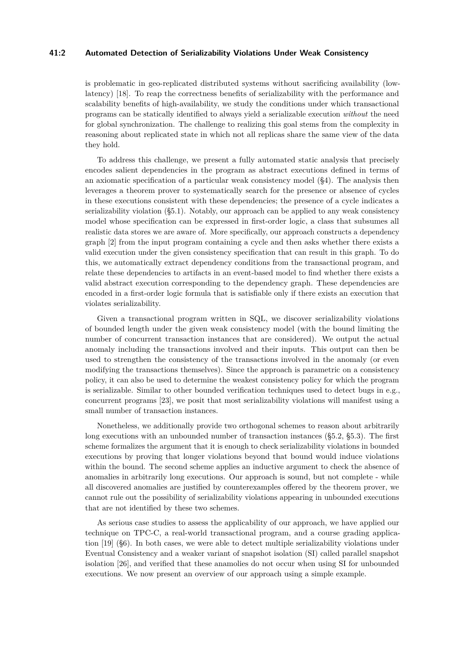## **41:2 Automated Detection of Serializability Violations Under Weak Consistency**

is problematic in geo-replicated distributed systems without sacrificing availability (lowlatency) [\[18\]](#page-16-0). To reap the correctness benefits of serializability with the performance and scalability benefits of high-availability, we study the conditions under which transactional programs can be statically identified to always yield a serializable execution *without* the need for global synchronization. The challenge to realizing this goal stems from the complexity in reasoning about replicated state in which not all replicas share the same view of the data they hold.

To address this challenge, we present a fully automated static analysis that precisely encodes salient dependencies in the program as abstract executions defined in terms of an axiomatic specification of a particular weak consistency model (§4). The analysis then leverages a theorem prover to systematically search for the presence or absence of cycles in these executions consistent with these dependencies; the presence of a cycle indicates a serializability violation (§5.1). Notably, our approach can be applied to any weak consistency model whose specification can be expressed in first-order logic, a class that subsumes all realistic data stores we are aware of. More specifically, our approach constructs a dependency graph [\[2\]](#page-15-0) from the input program containing a cycle and then asks whether there exists a valid execution under the given consistency specification that can result in this graph. To do this, we automatically extract dependency conditions from the transactional program, and relate these dependencies to artifacts in an event-based model to find whether there exists a valid abstract execution corresponding to the dependency graph. These dependencies are encoded in a first-order logic formula that is satisfiable only if there exists an execution that violates serializability.

Given a transactional program written in SQL, we discover serializability violations of bounded length under the given weak consistency model (with the bound limiting the number of concurrent transaction instances that are considered). We output the actual anomaly including the transactions involved and their inputs. This output can then be used to strengthen the consistency of the transactions involved in the anomaly (or even modifying the transactions themselves). Since the approach is parametric on a consistency policy, it can also be used to determine the weakest consistency policy for which the program is serializable. Similar to other bounded verification techniques used to detect bugs in e.g., concurrent programs [\[23\]](#page-17-2), we posit that most serializability violations will manifest using a small number of transaction instances.

Nonetheless, we additionally provide two orthogonal schemes to reason about arbitrarily long executions with an unbounded number of transaction instances (§5.2, §5.3). The first scheme formalizes the argument that it is enough to check serializability violations in bounded executions by proving that longer violations beyond that bound would induce violations within the bound. The second scheme applies an inductive argument to check the absence of anomalies in arbitrarily long executions. Our approach is sound, but not complete - while all discovered anomalies are justified by counterexamples offered by the theorem prover, we cannot rule out the possibility of serializability violations appearing in unbounded executions that are not identified by these two schemes.

As serious case studies to assess the applicability of our approach, we have applied our technique on TPC-C, a real-world transactional program, and a course grading application [\[19\]](#page-16-1) (§6). In both cases, we were able to detect multiple serializability violations under Eventual Consistency and a weaker variant of snapshot isolation (SI) called parallel snapshot isolation [\[26\]](#page-17-3), and verified that these anamolies do not occur when using SI for unbounded executions. We now present an overview of our approach using a simple example.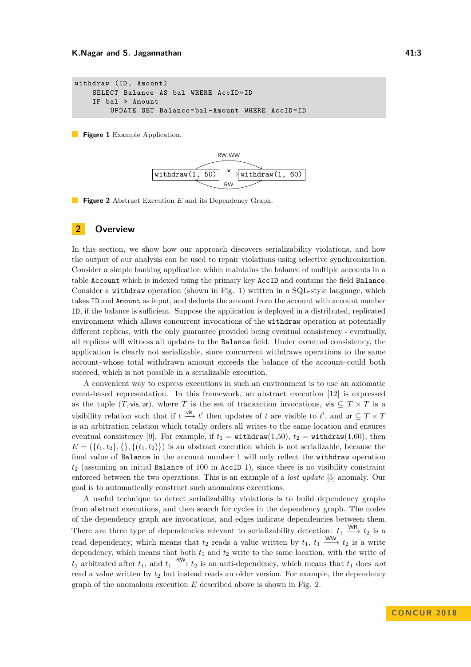```
withdraw (ID, Amount)
    SELECT Balance AS bal WHERE AccID=ID
    IF bal > Amount
        UPDATE SET Balance = bal - Amount WHERE AccID = ID
```
<span id="page-2-1"></span>**Figure 1** Example Application.



**Figure 2** Abstract Execution *E* and its Dependency Graph.

## **2 Overview**

In this section, we show how our approach discovers serializability violations, and how the output of our analysis can be used to repair violations using selective synchronization. Consider a simple banking application which maintains the balance of multiple accounts in a table Account which is indexed using the primary key AccID and contains the field Balance. Consider a withdraw operation (shown in Fig. [1\)](#page-2-0) written in a SQL-style language, which takes ID and Amount as input, and deducts the amount from the account with account number ID, if the balance is sufficient. Suppose the application is deployed in a distributed, replicated environment which allows concurrent invocations of the withdraw operation at potentially different replicas, with the only guarantee provided being eventual consistency - eventually, all replicas will witness all updates to the Balance field. Under eventual consistency, the application is clearly not serializable, since concurrent withdraws operations to the same account–whose total withdrawn amount exceeds the balance of the account–could both succeed, which is not possible in a serializable execution.

A convenient way to express executions in such an environment is to use an axiomatic event-based representation. In this framework, an abstract execution [\[12\]](#page-16-2) is expressed as the tuple  $(T, \text{vis}, \text{ar})$ , where *T* is the set of transaction invocations, vis  $\subseteq T \times T$  is a visibility relation such that if  $t \stackrel{\text{vis}}{\longrightarrow} t'$  then updates of *t* are visible to  $t'$ , and ar  $\subseteq T \times T$ is an arbitration relation which totally orders all writes to the same location and ensures eventual consistency [\[9\]](#page-16-3). For example, if  $t_1 = \text{without}(1,50)$ ,  $t_2 = \text{without}(1,60)$ , then  $E = (\{t_1, t_2\}, \{\}, \{(t_1, t_2)\})$  is an abstract execution which is not serializable, because the final value of Balance in the account number 1 will only reflect the withdraw operation *t*<sup>2</sup> (assuming an initial Balance of 100 in AccID 1), since there is no visibility constraint enforced between the two operations. This is an example of a *lost update* [\[5\]](#page-15-1) anomaly. Our goal is to automatically construct such anomalous executions.

A useful technique to detect serializability violations is to build dependency graphs from abstract executions, and then search for cycles in the dependency graph. The nodes of the dependency graph are invocations, and edges indicate dependencies between them. There are three type of dependencies relevant to serializability detection:  $t_1 \stackrel{\text{WR}}{\longrightarrow} t_2$  is a read dependency, which means that  $t_2$  reads a value written by  $t_1$ ,  $t_1 \xrightarrow{WW} t_2$  is a write dependency, which means that both  $t_1$  and  $t_2$  write to the same location, with the write of  $t_2$  arbitrated after  $t_1$ , and  $t_1 \stackrel{\text{RW}}{\longrightarrow} t_2$  is an anti-dependency, which means that  $t_1$  does *not* read a value written by *t*<sup>2</sup> but instead reads an older version. For example, the dependency graph of the anomalous execution *E* described above is shown in Fig. [2.](#page-2-1)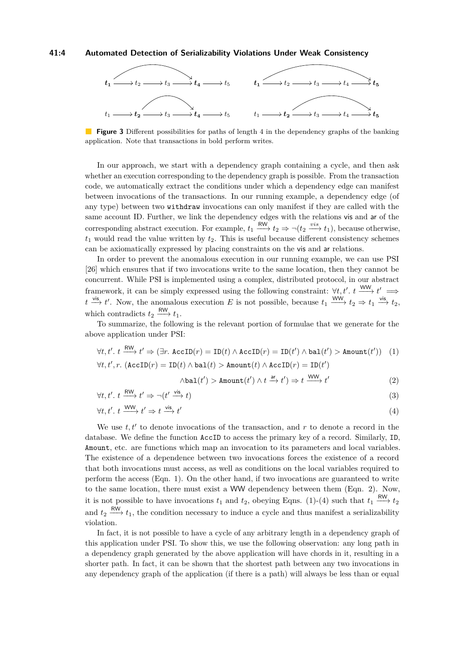#### **41:4 Automated Detection of Serializability Violations Under Weak Consistency**

<span id="page-3-0"></span>

**Figure 3** Different possibilities for paths of length 4 in the dependency graphs of the banking application. Note that transactions in bold perform writes.

In our approach, we start with a dependency graph containing a cycle, and then ask whether an execution corresponding to the dependency graph is possible. From the transaction code, we automatically extract the conditions under which a dependency edge can manifest between invocations of the transactions. In our running example, a dependency edge (of any type) between two withdraw invocations can only manifest if they are called with the same account ID. Further, we link the dependency edges with the relations vis and ar of the corresponding abstract execution. For example,  $t_1 \xrightarrow{\text{RW}} t_2 \Rightarrow \neg(t_2 \xrightarrow{vis} t_1)$ , because otherwise,  $t_1$  would read the value written by  $t_2$ . This is useful because different consistency schemes can be axiomatically expressed by placing constraints on the vis and ar relations.

In order to prevent the anomalous execution in our running example, we can use PSI [\[26\]](#page-17-3) which ensures that if two invocations write to the same location, then they cannot be concurrent. While PSI is implemented using a complex, distributed protocol, in our abstract framework, it can be simply expressed using the following constraint:  $\forall t, t'$ .  $t \xrightarrow{WW} t' \implies$  $t \xrightarrow{\text{vis}} t'$ . Now, the anomalous execution *E* is not possible, because  $t_1 \xrightarrow{\text{WW}} t_2 \Rightarrow t_1 \xrightarrow{\text{vis}} t_2$ , which contradicts  $t_2 \xrightarrow{\text{RW}} t_1$ .

To summarize, the following is the relevant portion of formulae that we generate for the above application under PSI:

$$
\forall t, t'.\ t \xrightarrow{\text{RW}} t' \Rightarrow (\exists r. \ \text{AccID}(r) = \text{ID}(t) \land \text{AccID}(r) = \text{ID}(t') \land \text{bal}(t') > \text{Amount}(t')) \quad (1)
$$

$$
\forall t, t', r. \ (\text{AccID}(r) = \text{ID}(t) \land \text{bal}(t) > \text{Amount}(t) \land \text{AccID}(r) = \text{ID}(t')
$$

$$
\wedge \text{bal}(t') > \text{Amount}(t') \wedge t \xrightarrow{\text{ar}} t') \Rightarrow t \xrightarrow{\text{WW}} t'
$$
 (2)

$$
\forall t, t'. \; t \xrightarrow{\text{RW}} t' \Rightarrow \neg(t' \xrightarrow{\text{vis}} t) \tag{3}
$$

$$
\forall t, t'. \; t \xrightarrow{\text{WW}} t' \Rightarrow t \xrightarrow{\text{vis}} t'
$$
\n
$$
\tag{4}
$$

We use  $t, t'$  to denote invocations of the transaction, and  $r$  to denote a record in the database. We define the function AccID to access the primary key of a record. Similarly, ID, Amount, etc. are functions which map an invocation to its parameters and local variables. The existence of a dependence between two invocations forces the existence of a record that both invocations must access, as well as conditions on the local variables required to perform the access (Eqn. 1). On the other hand, if two invocations are guaranteed to write to the same location, there must exist a WW dependency between them (Eqn. 2). Now, it is not possible to have invocations  $t_1$  and  $t_2$ , obeying Eqns. (1)-(4) such that  $t_1 \stackrel{\text{RW}}{\longrightarrow} t_2$ and  $t_2 \xrightarrow{\text{RW}} t_1$ , the condition necessary to induce a cycle and thus manifest a serializability violation.

In fact, it is not possible to have a cycle of any arbitrary length in a dependency graph of this application under PSI. To show this, we use the following observation: any long path in a dependency graph generated by the above application will have chords in it, resulting in a shorter path. In fact, it can be shown that the shortest path between any two invocations in any dependency graph of the application (if there is a path) will always be less than or equal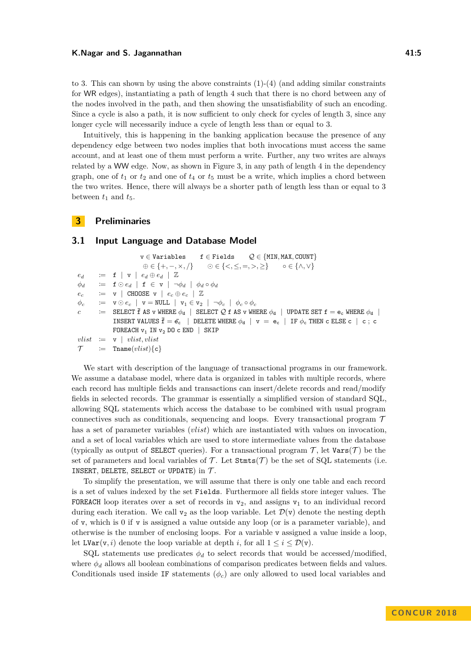#### **K.Nagar and S. Jagannathan 41:5** and 41:5

to 3. This can shown by using the above constraints  $(1)-(4)$  (and adding similar constraints for WR edges), instantiating a path of length 4 such that there is no chord between any of the nodes involved in the path, and then showing the unsatisfiability of such an encoding. Since a cycle is also a path, it is now sufficient to only check for cycles of length 3, since any longer cycle will necessarily induce a cycle of length less than or equal to 3.

Intuitively, this is happening in the banking application because the presence of any dependency edge between two nodes implies that both invocations must access the same account, and at least one of them must perform a write. Further, any two writes are always related by a WW edge. Now, as shown in Figure [3,](#page-3-0) in any path of length 4 in the dependency graph, one of  $t_1$  or  $t_2$  and one of  $t_4$  or  $t_5$  must be a write, which implies a chord between the two writes. Hence, there will always be a shorter path of length less than or equal to 3 between  $t_1$  and  $t_5$ .

## **3 Preliminaries**

## **3.1 Input Language and Database Model**

```
v ∈ Variables f ∈ Fields Q ∈ {MIN, MAX, COUNT}
                             ⊕ ∈ {+, −, ×, /}  ∈ {<, ≤, =, >, ≥} ◦ ∈ {∧, ∨}
e_d := f | v | e_d \oplus e_d | Z
\phi_d := f \odot ed | f \in v | \neg \phi_d | \phi_d \circ \phi_dec
         := \mathbf{v} \mid \text{CHOOSE } \mathbf{v} \mid e_c \oplus e_c \mid \mathbb{Z}φc
         \mathbf{v} = \mathbf{v} \odot e_c | \mathbf{v} = \text{NULL} | \mathbf{v}_1 \in \mathbf{v}_2 | \neg \phi_c | \phi_c \circ \phi_cc := SELECT \overline{f} AS v WHERE \phi_d | SELECT \mathcal{Q} f AS v WHERE \phi_d | UPDATE SET f = e_c WHERE \phi_d |
               INSERT VALUES \bar{f} = \bar{e_c} | DELETE WHERE \phi_d | v = e_c | IF \phi_c THEN c ELSE c | c; c
               FOREACH v_1 IN v_2 DO c END | SKIP
vlist := v \mid vlist, vlist\mathcal{T} \qquad \qquad \coloneqq \qquad \text{Trame}(vlist)\{\texttt{c}\}\
```
We start with description of the language of transactional programs in our framework. We assume a database model, where data is organized in tables with multiple records, where each record has multiple fields and transactions can insert/delete records and read/modify fields in selected records. The grammar is essentially a simplified version of standard SQL, allowing SQL statements which access the database to be combined with usual program connectives such as conditionals, sequencing and loops. Every transactional program  $\mathcal T$ has a set of parameter variables (*vlist*) which are instantiated with values on invocation, and a set of local variables which are used to store intermediate values from the database (typically as output of **SELECT** queries). For a transactional program  $\mathcal{T}$ , let  $\text{Vars}(\mathcal{T})$  be the set of parameters and local variables of  $\mathcal T$ . Let  $\texttt{Stmts}(\mathcal T)$  be the set of SQL statements (i.e. INSERT, DELETE, SELECT or UPDATE) in  $\mathcal{T}$ .

To simplify the presentation, we will assume that there is only one table and each record is a set of values indexed by the set Fields. Furthermore all fields store integer values. The FOREACH loop iterates over a set of records in  $v_2$ , and assigns  $v_1$  to an individual record during each iteration. We call  $v_2$  as the loop variable. Let  $\mathcal{D}(v)$  denote the nesting depth of v, which is 0 if v is assigned a value outside any loop (or is a parameter variable), and otherwise is the number of enclosing loops. For a variable v assigned a value inside a loop, let  $LVar(v, i)$  denote the loop variable at depth *i*, for all  $1 \le i \le \mathcal{D}(v)$ .

SQL statements use predicates  $\phi_d$  to select records that would be accessed/modified, where  $\phi_d$  allows all boolean combinations of comparison predicates between fields and values. Conditionals used inside IF statements  $(\phi_c)$  are only allowed to used local variables and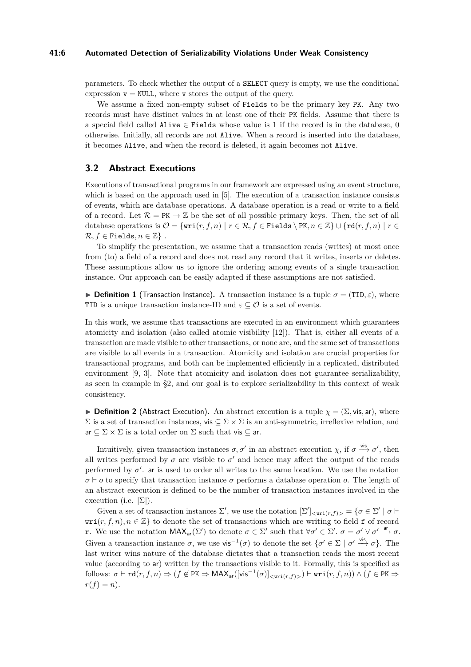#### **41:6 Automated Detection of Serializability Violations Under Weak Consistency**

parameters. To check whether the output of a SELECT query is empty, we use the conditional expression  $v = NULL$ , where v stores the output of the query.

We assume a fixed non-empty subset of Fields to be the primary key PK. Any two records must have distinct values in at least one of their PK fields. Assume that there is a special field called Alive  $\in$  Fields whose value is 1 if the record is in the database, 0 otherwise. Initially, all records are not Alive. When a record is inserted into the database, it becomes Alive, and when the record is deleted, it again becomes not Alive.

# **3.2 Abstract Executions**

Executions of transactional programs in our framework are expressed using an event structure, which is based on the approach used in [\[5\]](#page-15-1). The execution of a transaction instance consists of events, which are database operations. A database operation is a read or write to a field of a record. Let  $\mathcal{R} = PK \rightarrow \mathbb{Z}$  be the set of all possible primary keys. Then, the set of all database operations is  $\mathcal{O} = \{ \text{wri}(r, f, n) \mid r \in \mathcal{R}, f \in \text{Fields} \setminus \text{PK}, n \in \mathbb{Z} \} \cup \{ \text{rd}(r, f, n) \mid r \in \mathbb{Z} \}$  $\mathcal{R}, f \in$  Fields,  $n \in \mathbb{Z}$  }.

To simplify the presentation, we assume that a transaction reads (writes) at most once from (to) a field of a record and does not read any record that it writes, inserts or deletes. These assumptions allow us to ignore the ordering among events of a single transaction instance. Our approach can be easily adapted if these assumptions are not satisfied.

**Definition 1** (Transaction Instance). A transaction instance is a tuple  $\sigma = (TID, \varepsilon)$ , where TID is a unique transaction instance-ID and  $\varepsilon \subseteq \mathcal{O}$  is a set of events.

In this work, we assume that transactions are executed in an environment which guarantees atomicity and isolation (also called atomic visibility [\[12\]](#page-16-2)). That is, either all events of a transaction are made visible to other transactions, or none are, and the same set of transactions are visible to all events in a transaction. Atomicity and isolation are crucial properties for transactional programs, and both can be implemented efficiently in a replicated, distributed environment [\[9,](#page-16-3) [3\]](#page-15-2). Note that atomicity and isolation does not guarantee serializability, as seen in example in §2, and our goal is to explore serializability in this context of weak consistency.

**Definition 2** (Abstract Execution). An abstract execution is a tuple  $\chi = (\Sigma, \text{vis, ar})$ , where  $Σ$  is a set of transaction instances, vis  $subsetigma$   $X$   $Σ$  is an anti-symmetric, irreflexive relation, and  $ar \subseteq \Sigma \times \Sigma$  is a total order on  $\Sigma$  such that vis  $\subseteq$  ar.

Intuitively, given transaction instances  $\sigma$ ,  $\sigma'$  in an abstract execution  $\chi$ , if  $\sigma \stackrel{\text{vis}}{\longrightarrow} \sigma'$ , then all writes performed by  $\sigma$  are visible to  $\sigma'$  and hence may affect the output of the reads performed by  $\sigma'$ . ar is used to order all writes to the same location. We use the notation  $\sigma \vdash o$  to specify that transaction instance  $\sigma$  performs a database operation *o*. The length of an abstract execution is defined to be the number of transaction instances involved in the execution (i.e.  $|\Sigma|$ ).

Given a set of transaction instances  $\Sigma'$ , we use the notation  $[\Sigma']_{\langle \text{uri}(r,f)\rangle} = {\sigma \in \Sigma' | \sigma \vdash \Box'}$  $\text{wri}(r, f, n), n \in \mathbb{Z}$  to denote the set of transactions which are writing to field f of record **r**. We use the notation  $MAX_{ar}(\Sigma')$  to denote *σ* ∈ Σ' such that  $∀ σ' ∈ Σ'$ . *σ* =  $σ' ∨ σ'$ .  $\stackrel{ar}{\rightarrow} σ$ . Given a transaction instance  $\sigma$ , we use vis<sup>-1</sup>( $\sigma$ ) to denote the set  $\{\sigma' \in \Sigma \mid \sigma' \stackrel{\text{vis}}{\longrightarrow} \sigma\}$ . The last writer wins nature of the database dictates that a transaction reads the most recent value (according to ar) written by the transactions visible to it. Formally, this is specified as  $\text{follows: } \sigma \vdash \texttt{rd}(r,f,n) \Rightarrow (f \not\in \texttt{PK} \Rightarrow \textsf{MAX}_{\textsf{ar}}([\textsf{vis}^{-1}(\sigma)]_{<\textsf{uri}(r,f)>}) \vdash \textsf{uri}(r,f,n)) \land (f \in \texttt{PK} \Rightarrow$  $r(f) = n$ .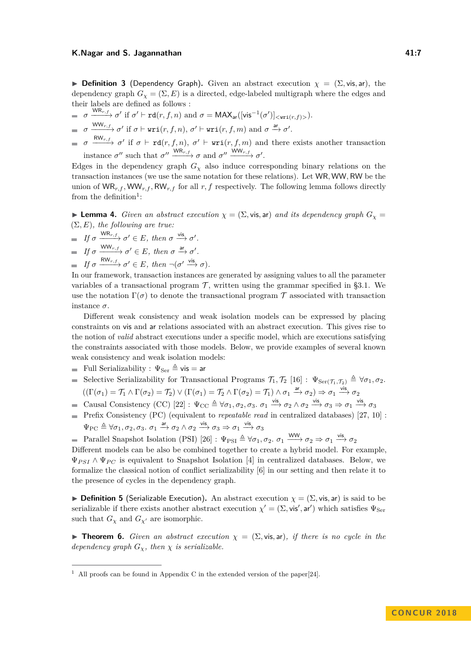#### **K.Nagar and S. Jagannathan 41:7**  $\bullet$  41:7

**Definition 3** (Dependency Graph). Given an abstract execution  $\chi = (\Sigma, \text{vis}, \text{ar})$ , the dependency graph  $G_\chi = (\Sigma, E)$  is a directed, edge-labeled multigraph where the edges and their labels are defined as follows :

- $\sigma \xrightarrow{\text{WR}_{r,f}} \sigma' \text{ if } \sigma' \vdash \text{rd}(r,f,n) \text{ and } \sigma = \text{MAX}_{\text{ar}}([\text{vis}^{-1}(\sigma')]_{< \text{uri}(r,f)>}).$
- $\sigma \xrightarrow{\text{WW}_{r,f}} \sigma' \text{ if } \sigma \vdash \texttt{wri}(r,f,n), \sigma' \vdash \texttt{wri}(r,f,m) \text{ and } \sigma \xrightarrow{\text{ar}} \sigma'.$
- $\sigma \xrightarrow{\mathsf{RW}_{r,f}} \sigma'$  if  $\sigma \vdash \mathsf{rd}(r,f,n)$ ,  $\sigma' \vdash \text{uri}(r,f,m)$  and there exists another transaction instance  $\sigma''$  such that  $\sigma'' \xrightarrow{\text{WR}_{r,f}} \sigma$  and  $\sigma'' \xrightarrow{\text{WW}_{r,f}} \sigma'$ .

Edges in the dependency graph  $G_\chi$  also induce corresponding binary relations on the transaction instances (we use the same notation for these relations). Let WR*,* WW*,* RW be the union of  $WR_{r,f}$ ,  $WW_{r,f}$ ,  $RW_{r,f}$  for all  $r, f$  respectively. The following lemma follows directly from the definition<sup>[1](#page-6-0)</sup>:

**Lemma 4.** *Given an abstract execution*  $\chi = (\Sigma, \text{vis, ar})$  *and its dependency graph*  $G_{\chi} =$ (Σ*, E*)*, the following are true:*

*If*  $\sigma \xrightarrow{\text{WR}_{r,f}} \sigma' \in E$ , then  $\sigma \xrightarrow{\text{vis}} \sigma'$ .

$$
\implies \text{If } \sigma \xrightarrow{\text{WW}_{r,f}} \sigma' \in E, \text{ then } \sigma \xrightarrow{\text{ar}} \sigma'.
$$

 $If \sigma \xrightarrow{\text{RW}_{r,f}} \sigma' \in E, then \neg(\sigma' \xrightarrow{\text{vis}} \sigma).$ 

In our framework, transaction instances are generated by assigning values to all the parameter variables of a transactional program  $\mathcal{T}$ , written using the grammar specified in §3.1. We use the notation  $\Gamma(\sigma)$  to denote the transactional program  $\mathcal T$  associated with transaction instance *σ*.

Different weak consistency and weak isolation models can be expressed by placing constraints on vis and ar relations associated with an abstract execution. This gives rise to the notion of *valid* abstract executions under a specific model, which are executions satisfying the constraints associated with those models. Below, we provide examples of several known weak consistency and weak isolation models:

- Full Serializability :  $\Psi_{\text{Ser}} \triangleq \mathsf{vis} = \mathsf{ar}$
- Selective Serializability for Transactional Programs  $\mathcal{T}_1, \mathcal{T}_2$  [\[16\]](#page-16-4) :  $\Psi_{\text{Ser}(\mathcal{T}_1, \mathcal{T}_2)} \triangleq \forall \sigma_1, \sigma_2$ .  $((\Gamma(\sigma_1) = \mathcal{T}_1 \wedge \Gamma(\sigma_2) = \mathcal{T}_2) \vee (\Gamma(\sigma_1) = \mathcal{T}_2 \wedge \Gamma(\sigma_2) = \mathcal{T}_1) \wedge \sigma_1 \xrightarrow{\text{ar}} \sigma_2) \Rightarrow \sigma_1 \xrightarrow{\text{vis}} \sigma_2$
- Causal Consistency (CC)  $[22] : \Psi_{CC} \triangleq \forall \sigma_1, \sigma_2, \sigma_3 \cdot \sigma_1 \xrightarrow{\text{vis}} \sigma_2 \wedge \sigma_2 \xrightarrow{\text{vis}} \sigma_3 \Rightarrow \sigma_1 \xrightarrow{\text{vis}} \sigma_3$  $[22] : \Psi_{CC} \triangleq \forall \sigma_1, \sigma_2, \sigma_3 \cdot \sigma_1 \xrightarrow{\text{vis}} \sigma_2 \wedge \sigma_2 \xrightarrow{\text{vis}} \sigma_3 \Rightarrow \sigma_1 \xrightarrow{\text{vis}} \sigma_3$
- Prefix Consistency (PC) (equivalent to *repeatable read* in centralized databases) [\[27,](#page-17-5) [10\]](#page-16-5) :  $\Psi_{\text{PC}} \triangleq \forall \sigma_1, \sigma_2, \sigma_3$ .  $\sigma_1 \xrightarrow{\text{ar}} \sigma_2 \land \sigma_2 \xrightarrow{\text{vis}} \sigma_3 \Rightarrow \sigma_1 \xrightarrow{\text{vis}} \sigma_3$
- Parallel Snapshot Isolation (PSI)  $[26]$ :  $\Psi_{\text{PSI}} \triangleq \forall \sigma_1, \sigma_2$ .  $\sigma_1 \xrightarrow{\text{WW}} \sigma_2 \Rightarrow \sigma_1 \xrightarrow{\text{vis}} \sigma_2$

Different models can be also be combined together to create a hybrid model. For example,  $\Psi_{PSI} \wedge \Psi_{PC}$  is equivalent to Snapshot Isolation [\[4\]](#page-15-3) in centralized databases. Below, we formalize the classical notion of conflict serializability [\[6\]](#page-15-4) in our setting and then relate it to the presence of cycles in the dependency graph.

**Definition 5** (Serializable Execution). An abstract execution  $\chi = (\Sigma, \text{vis}, \text{ar})$  is said to be serializable if there exists another abstract execution  $\chi' = (\Sigma, \text{vis}', \text{ar}')$  which satisfies  $\Psi_{\text{Ser}}$ such that  $G_\chi$  and  $G_{\chi'}$  are isomorphic.

**Theorem 6.** *Given an abstract execution*  $\chi = (\Sigma, \text{vis, ar})$ *, if there is no cycle in the dependency graph*  $G_{\chi}$ *, then*  $\chi$  *is serializable.* 

<span id="page-6-0"></span><sup>&</sup>lt;sup>1</sup> All proofs can be found in Appendix C in the extended version of the paper[\[24\]](#page-17-0).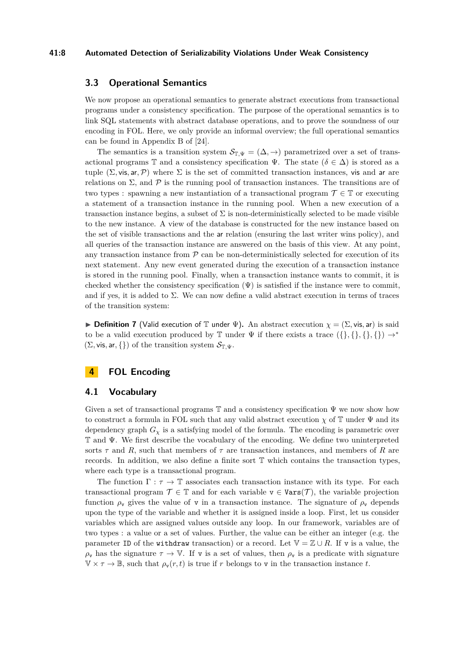### **41:8 Automated Detection of Serializability Violations Under Weak Consistency**

# **3.3 Operational Semantics**

We now propose an operational semantics to generate abstract executions from transactional programs under a consistency specification. The purpose of the operational semantics is to link SQL statements with abstract database operations, and to prove the soundness of our encoding in FOL. Here, we only provide an informal overview; the full operational semantics can be found in Appendix B of [\[24\]](#page-17-0).

The semantics is a transition system  $S_{\mathbb{T}, \Psi} = (\Delta, \rightarrow)$  parametrized over a set of transactional programs T and a consistency specification  $\Psi$ . The state  $(\delta \in \Delta)$  is stored as a tuple  $(\Sigma, \text{vis}, \text{ar}, \mathcal{P})$  where  $\Sigma$  is the set of committed transaction instances, vis and ar are relations on  $\Sigma$ , and  $P$  is the running pool of transaction instances. The transitions are of two types : spawning a new instantiation of a transactional program  $\mathcal{T} \in \mathbb{T}$  or executing a statement of a transaction instance in the running pool. When a new execution of a transaction instance begins, a subset of  $\Sigma$  is non-deterministically selected to be made visible to the new instance. A view of the database is constructed for the new instance based on the set of visible transactions and the ar relation (ensuring the last writer wins policy), and all queries of the transaction instance are answered on the basis of this view. At any point, any transaction instance from  $P$  can be non-deterministically selected for execution of its next statement. Any new event generated during the execution of a transaction instance is stored in the running pool. Finally, when a transaction instance wants to commit, it is checked whether the consistency specification  $(\Psi)$  is satisfied if the instance were to commit, and if yes, it is added to  $\Sigma$ . We can now define a valid abstract execution in terms of traces of the transition system:

**Definition 7** (Valid execution of T under  $\Psi$ ). An abstract execution  $\chi = (\Sigma, \text{vis, ar})$  is said to be a valid execution produced by T under  $\Psi$  if there exists a trace  $({}, \{}, \{\}, \{\}) \rightarrow^*$  $(\Sigma, \text{vis}, \text{ar}, \{\})$  of the transition system  $\mathcal{S}_{\mathbb{T}, \Psi}$ .

# **4 FOL Encoding**

## **4.1 Vocabulary**

Given a set of transactional programs  $\mathbb T$  and a consistency specification  $\Psi$  we now show how to construct a formula in FOL such that any valid abstract execution  $\chi$  of T under  $\Psi$  and its dependency graph  $G<sub>x</sub>$  is a satisfying model of the formula. The encoding is parametric over T and Ψ. We first describe the vocabulary of the encoding. We define two uninterpreted sorts *τ* and *R*, such that members of *τ* are transaction instances, and members of *R* are records. In addition, we also define a finite sort T which contains the transaction types, where each type is a transactional program.

The function  $\Gamma : \tau \to \mathbb{T}$  associates each transaction instance with its type. For each transactional program  $\mathcal{T} \in \mathbb{T}$  and for each variable  $v \in \text{Vars}(\mathcal{T})$ , the variable projection function  $\rho_{\rm v}$  gives the value of v in a transaction instance. The signature of  $\rho_{\rm v}$  depends upon the type of the variable and whether it is assigned inside a loop. First, let us consider variables which are assigned values outside any loop. In our framework, variables are of two types : a value or a set of values. Further, the value can be either an integer (e.g. the parameter ID of the withdraw transaction) or a record. Let  $\mathbb{V} = \mathbb{Z} \cup R$ . If v is a value, the  $\rho_{\rm v}$  has the signature  $\tau \to \mathbb{V}$ . If v is a set of values, then  $\rho_{\rm v}$  is a predicate with signature  $\mathbb{V} \times \tau \to \mathbb{B}$ , such that  $\rho_{\mathbf{v}}(r,t)$  is true if *r* belongs to *v* in the transaction instance *t*.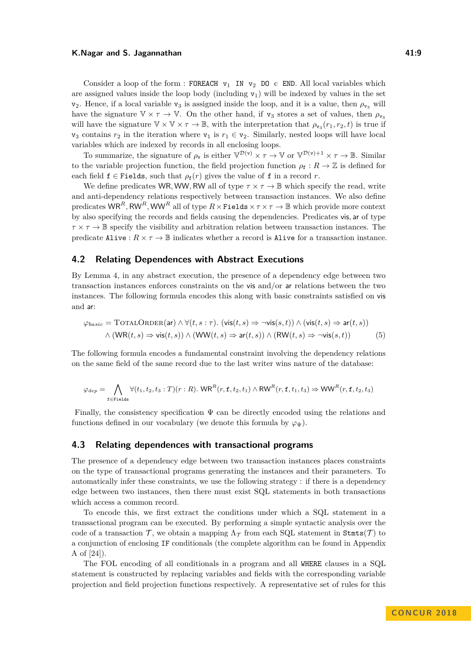#### **K.Nagar and S. Jagannathan 41:9** 41:9

Consider a loop of the form : FOREACH  $v_1$  IN  $v_2$  DO c END. All local variables which are assigned values inside the loop body (including  $v_1$ ) will be indexed by values in the set  $v_2$ . Hence, if a local variable  $v_3$  is assigned inside the loop, and it is a value, then  $\rho_{v_3}$  will have the signature  $\mathbb{V} \times \tau \to \mathbb{V}$ . On the other hand, if  $v_3$  stores a set of values, then  $\rho_{v_3}$ will have the signature  $\mathbb{V} \times \mathbb{V} \times \tau \to \mathbb{B}$ , with the interpretation that  $\rho_{\mathbf{v}_3}(r_1, r_2, t)$  is true if  $v_3$  contains  $r_2$  in the iteration where  $v_1$  is  $r_1 \in v_2$ . Similarly, nested loops will have local variables which are indexed by records in all enclosing loops.

To summarize, the signature of  $\rho_{\mathbf{v}}$  is either  $\mathbb{V}^{\mathcal{D}(\mathbf{v})} \times \tau \to \mathbb{V}$  or  $\mathbb{V}^{\mathcal{D}(\mathbf{v})+1} \times \tau \to \mathbb{B}$ . Similar to the variable projection function, the field projection function  $\rho_f : R \to \mathbb{Z}$  is defined for each field  $f \in$  Fields, such that  $\rho_f(r)$  gives the value of f in a record *r*.

We define predicates WR, WW, RW all of type  $\tau \times \tau \to \mathbb{B}$  which specify the read, write and anti-dependency relations respectively between transaction instances. We also define predicates  $\mathsf{WR}^R$ ,  $\mathsf{RW}^R$ ,  $\mathsf{WW}^R$  all of type  $R \times \mathsf{Fields} \times \tau \times \tau \to \mathbb{B}$  which provide more context by also specifying the records and fields causing the dependencies. Predicates vis*,* ar of type  $\tau \times \tau \to \mathbb{B}$  specify the visibility and arbitration relation between transaction instances. The predicate Alive :  $R \times \tau \to \mathbb{B}$  indicates whether a record is Alive for a transaction instance.

## **4.2 Relating Dependences with Abstract Executions**

By Lemma 4, in any abstract execution, the presence of a dependency edge between two transaction instances enforces constraints on the vis and/or ar relations between the two instances. The following formula encodes this along with basic constraints satisfied on vis and ar:

$$
\varphi_{basic} = \text{TotalORDER}(\text{ar}) \land \forall (t, s : \tau). (\text{vis}(t, s) \Rightarrow \neg \text{vis}(s, t)) \land (\text{vis}(t, s) \Rightarrow \text{ar}(t, s))
$$

$$
\land (\text{WR}(t, s) \Rightarrow \text{vis}(t, s)) \land (\text{WW}(t, s) \Rightarrow \text{ar}(t, s)) \land (\text{RW}(t, s) \Rightarrow \neg \text{vis}(s, t))
$$
(5)

The following formula encodes a fundamental constraint involving the dependency relations on the same field of the same record due to the last writer wins nature of the database:

$$
\varphi_{dep} = \bigwedge_{\texttt{f}\in \texttt{Fields}} \forall (t_1, t_2, t_3 : T)(r : R). \text{ WR}^R(r, \texttt{f}, t_2, t_1) \land \text{RW}^R(r, \texttt{f}, t_1, t_3) \Rightarrow \text{WW}^R(r, \texttt{f}, t_2, t_3)
$$

Finally, the consistency specification  $\Psi$  can be directly encoded using the relations and functions defined in our vocabulary (we denote this formula by  $\varphi_{\Psi}$ ).

## **4.3 Relating dependences with transactional programs**

The presence of a dependency edge between two transaction instances places constraints on the type of transactional programs generating the instances and their parameters. To automatically infer these constraints, we use the following strategy : if there is a dependency edge between two instances, then there must exist SQL statements in both transactions which access a common record.

To encode this, we first extract the conditions under which a SQL statement in a transactional program can be executed. By performing a simple syntactic analysis over the code of a transaction T, we obtain a mapping  $\Lambda_{\mathcal{T}}$  from each SQL statement in Stmts(T) to a conjunction of enclosing IF conditionals (the complete algorithm can be found in Appendix A of [\[24\]](#page-17-0)).

The FOL encoding of all conditionals in a program and all WHERE clauses in a SQL statement is constructed by replacing variables and fields with the corresponding variable projection and field projection functions respectively. A representative set of rules for this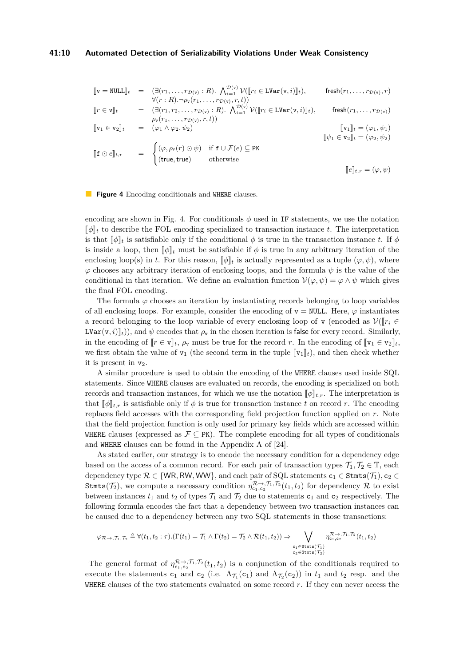#### **41:10 Automated Detection of Serializability Violations Under Weak Consistency**

<span id="page-9-0"></span>
$$
\begin{array}{rcl}\n[\![\mathbf{v} = \text{NULL}]\!]_t & = & (\exists (r_1, \ldots, r_{\mathcal{D}(\mathbf{v})} : R). \bigwedge_{i=1}^{\mathcal{D}(\mathbf{v})} \mathcal{V}([\![r_i \in \text{LVar}(\mathbf{v}, i)]\!]_t), \qquad \text{ fresh}(r_1, \ldots, r_{\mathcal{D}(\mathbf{v})}, r) \\
& \forall (r : R). \neg \rho_{\mathbf{v}}(r_1, \ldots, r_{\mathcal{D}(\mathbf{v})}, r, t)) \\
[\![r \in \mathbf{v}]\!]_t & = & (\exists (r_1, r_2, \ldots, r_{\mathcal{D}(\mathbf{v})} : R). \bigwedge_{i=1}^{\mathcal{D}(\mathbf{v})} \mathcal{V}([\![r_i \in \text{LVar}(\mathbf{v}, i)]\!]_t), \qquad \text{ fresh}(r_1, \ldots, r_{\mathcal{D}(\mathbf{v})}) \\
[\![\mathbf{v}_1 \in \mathbf{v}_2]\!]_t & = & (\varphi_1 \wedge \varphi_2, \psi_2) \\
[\![\mathbf{f} \odot e]\!]_{t,r} & = & \begin{cases}\n(\varphi, \rho_{\mathbf{f}}(r) \odot \psi) & \text{if } \mathbf{f} \cup \mathcal{F}(e) \subseteq \text{PK} \\
(\text{true}, \text{true}) & \text{otherwise}\n\end{cases} \\
[\![\![e]\!]_{t,r} = (\varphi, \psi)\n\end{array}
$$

**Figure 4** Encoding conditionals and WHERE clauses.

encoding are shown in Fig. [4.](#page-9-0) For conditionals  $\phi$  used in IF statements, we use the notation  $\llbracket \phi \rrbracket_t$  to describe the FOL encoding specialized to transaction instance *t*. The interpretation is that  $\llbracket \phi \rrbracket_t$  is satisfiable only if the conditional  $\phi$  is true in the transaction instance *t*. If  $\phi$ is inside a loop, then  $\llbracket \phi \rrbracket_t$  must be satisfiable if  $\phi$  is true in any arbitrary iteration of the enclosing loop(s) in *t*. For this reason,  $\llbracket \phi \rrbracket_t$  is actually represented as a tuple  $(\varphi, \psi)$ , where *ϕ* chooses any arbitrary iteration of enclosing loops, and the formula *ψ* is the value of the conditional in that iteration. We define an evaluation function  $\mathcal{V}(\varphi, \psi) = \varphi \wedge \psi$  which gives the final FOL encoding.

The formula  $\varphi$  chooses an iteration by instantiating records belonging to loop variables of all enclosing loops. For example, consider the encoding of  $v = NULL$ . Here,  $\varphi$  instantiates a record belonging to the loop variable of every enclosing loop of v (encoded as  $\mathcal{V}(\mathbb{r}_i \in$  $LVar(v, i)$ <sub>*t*</sub>)), and  $\psi$  encodes that  $\rho_v$  in the chosen iteration is false for every record. Similarly, in the encoding of  $\llbracket r \in \mathbf{v} \rrbracket_t$ ,  $\rho_{\mathbf{v}}$  must be true for the record *r*. In the encoding of  $\llbracket \mathbf{v}_1 \in \mathbf{v}_2 \rrbracket_t$ , we first obtain the value of  $v_1$  (the second term in the tuple  $[\![v_1]\!]_t$ ), and then check whether it is present in  $v_2$ .

A similar procedure is used to obtain the encoding of the WHERE clauses used inside SQL statements. Since WHERE clauses are evaluated on records, the encoding is specialized on both records and transaction instances, for which we use the notation  $[\![\phi]\!]_{t,r}$ . The interpretation is that  $\llbracket \phi \rrbracket_{t,r}$  is satisfiable only if  $\phi$  is true for transaction instance *t* on record *r*. The encoding replaces field accesses with the corresponding field projection function applied on *r*. Note that the field projection function is only used for primary key fields which are accessed within WHERE clauses (expressed as  $\mathcal{F} \subseteq PK$ ). The complete encoding for all types of conditionals and WHERE clauses can be found in the Appendix A of [\[24\]](#page-17-0).

As stated earlier, our strategy is to encode the necessary condition for a dependency edge based on the access of a common record. For each pair of transaction types  $\mathcal{T}_1, \mathcal{T}_2 \in \mathbb{T}$ , each dependency type  $\mathcal{R} \in \{\textsf{WR}, \textsf{RW}, \textsf{WW}\},$  and each pair of SQL statements  $\textsf{c}_1 \in \texttt{Stmts}(\mathcal{T}_1), \textsf{c}_2 \in$ Stmts( $\mathcal{T}_2$ ), we compute a necessary condition  $\eta_{c_1,c_2}^{\mathcal{R}\to\mathcal{F}_1,\mathcal{T}_2}(t_1,t_2)$  for dependency  $\mathcal R$  to exist between instances  $t_1$  and  $t_2$  of types  $\mathcal{T}_1$  and  $\mathcal{T}_2$  due to statements  $c_1$  and  $c_2$  respectively. The following formula encodes the fact that a dependency between two transaction instances can be caused due to a dependency between any two SQL statements in those transactions:

$$
\varphi_{\mathcal{R}\to,\mathcal{T}_1,\mathcal{T}_2}\triangleq \forall (t_1,t_2:\tau).(\Gamma(t_1)=\mathcal{T}_1\wedge\Gamma(t_2)=\mathcal{T}_2\wedge\mathcal{R}(t_1,t_2))\Rightarrow\bigvee_{\substack{c_1\in\texttt{Stmts}(\mathcal{T}_1)\\c_2\in\texttt{Stmts}(\mathcal{T}_2)}}\eta_{c_1,c_2}^{\mathcal{R}\to,\mathcal{T}_1,\mathcal{T}_2}(t_1,t_2)
$$

The general format of  $\eta_{c_1,c_2}^{\mathcal{R}\to\mathcal{F}_1,\mathcal{T}_2}(t_1,t_2)$  is a conjunction of the conditionals required to execute the statements  $c_1$  and  $c_2$  (i.e.  $\Lambda_{\mathcal{T}_1}(c_1)$  and  $\Lambda_{\mathcal{T}_2}(c_2)$ ) in  $t_1$  and  $t_2$  resp. and the WHERE clauses of the two statements evaluated on some record *r*. If they can never access the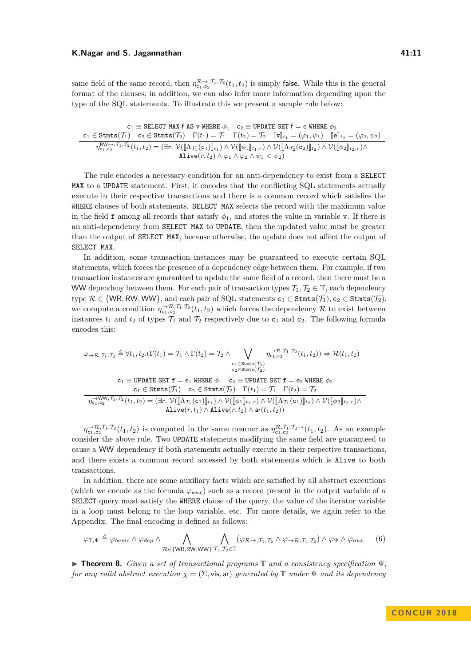#### **K.Nagar and S. Jagannathan 41:11**

same field of the same record, then  $\eta_{c_1,c_2}^{\mathcal{R}\to\mathcal{F}_1,\mathcal{T}_2}(t_1,t_2)$  is simply false. While this is the general format of the clauses, in addition, we can also infer more information depending upon the type of the SQL statements. To illustrate this we present a sample rule below:

 $c_1 \equiv$  SELECT MAX f AS v WHERE  $\phi_1 \quad c_2 \equiv$  UPDATE SET  $f = e$  WHERE  $\phi_2$  $\mathbf{c}_1 \in \texttt{Stmts}(\mathcal{T}_1) \quad \mathbf{c}_2 \in \texttt{Stmts}(\mathcal{T}_2) \quad \Gamma(t_1) = \mathcal{T}_1 \quad \Gamma(t_2) = \mathcal{T}_2 \quad \llbracket \mathbf{v} \rrbracket_{t_1} = (\varphi_1, \psi_1) \quad \llbracket \mathbf{e} \rrbracket_{t_2} = (\varphi_2, \psi_2) \quad \eta_{\text{c}_1, \text{c}_2}^{\text{RW}\rightarrow, \mathcal{T}_1, \mathcal{T}_2}(t_1, t_2) = (\exists r. \ \mathcal{V}(\llbracket \Lambda_{\mathcal{T}_1$ Alive $(r, t_2) \wedge \varphi_1 \wedge \varphi_2 \wedge \psi_1 < \psi_2$ 

The rule encodes a necessary condition for an anti-dependency to exist from a SELECT MAX to a UPDATE statement. First, it encodes that the conflicting SQL statements actually execute in their respective transactions and there is a common record which satisfies the WHERE clauses of both statements. SELECT MAX selects the record with the maximum value in the field f among all records that satisfy  $\phi_1$ , and stores the value in variable v. If there is an anti-dependency from SELECT MAX to UPDATE, then the updated value must be greater than the output of SELECT MAX, because otherwise, the update does not affect the output of SELECT MAX.

In addition, some transaction instances may be guaranteed to execute certain SQL statements, which forces the presence of a dependency edge between them. For example, if two transaction instances are guaranteed to update the same field of a record, then there must be a WW dependeny between them. For each pair of transaction types  $\mathcal{T}_1, \mathcal{T}_2 \in \mathbb{T}$ , each dependency type  $\mathcal{R} \in \{WR, RW, WW\}$ , and each pair of SQL statements  $c_1 \in \text{Strats}(\mathcal{T}_1), c_2 \in \text{Strats}(\mathcal{T}_2)$ , we compute a condition  $\eta_{c_1,c_2}^{-\mathcal{R},\mathcal{T}_1,\mathcal{T}_2}(t_1,t_2)$  which forces the dependency R to exist between instances  $t_1$  and  $t_2$  of types  $\mathcal{T}_1$  and  $\mathcal{T}_2$  respectively due to  $c_1$  and  $c_2$ . The following formula encodes this:

 $\varphi \rightarrow \mathrel{{\mathcal R}}, \mathrel{{\mathcal T}_1}, \mathrel{{\mathcal T}_2} \triangleq \forall t_1, t_2 . (\Gamma(t_1) = \mathrel{{\mathcal T}_1} \wedge \Gamma(t_2) = \mathrel{{\mathcal T}_2} \wedge \qquad \bigvee$  $\texttt{c}_1$ ∈Stmts $(\mathcal{T}_1)$ <br>c<sub>2</sub>∈Stmts $(\mathcal{T}_2)$  $\eta_{c_1,c_2}^{\rightarrow \mathcal{R},\mathcal{T}_1,\mathcal{T}_2}(t_1,t_2) \Rightarrow \mathcal{R}(t_1,t_2)$  $c_1 \equiv$  UPDATE SET  $f = e_1$  WHERE  $\phi_1$  c<sub>2</sub>  $\equiv$  UPDATE SET  $f = e_2$  WHERE  $\phi_2$  $c_1 \in$  Stmts $(\mathcal{T}_1)$   $c_2 \in$  Stmts $(\mathcal{T}_2)$   $\Gamma(t_1) = \mathcal{T}_1$   $\Gamma(t_2) = \mathcal{T}_2$  $\eta_{c_1,c_2}^{-\text{WW,}\mathcal{T}_1,\mathcal{T}_2}(t_1,t_2) = (\exists r.\ \mathcal{V}(\llbracket \Lambda \mathcal{T}_1(\mathsf{c}_1) \rrbracket_{t_1}) \wedge \mathcal{V}(\llbracket \phi_1 \rrbracket_{t_1,r}) \wedge \mathcal{V}(\llbracket \Lambda \mathcal{T}_1(\mathsf{c}_1) \rrbracket_{t_2}) \wedge \mathcal{V}(\llbracket \phi_2 \rrbracket_{t_2,r}) \wedge \mathcal{V}(\phi_1 \rrbracket_{t_1,r})$ Alive $(r, t_1) \wedge$ Alive $(r, t_2) \wedge$  ar $(t_1, t_2)$ )

 $\eta_{c_1,c_2}^{-\mathcal{R},\mathcal{T}_1,\mathcal{T}_2}(t_1,t_2)$  is computed in the same manner as  $\eta_{c_1,c_2}^{\mathcal{R},\mathcal{T}_1,\mathcal{T}_2\to}(t_1,t_2)$ . As an example consider the above rule. Two UPDATE statements modifying the same field are guaranteed to cause a WW dependency if both statements actually execute in their respective transactions, and there exists a common record accessed by both statements which is Alive to both transactions.

In addition, there are some auxiliary facts which are satisfied by all abstract executions (which we encode as the formula  $\varphi_{aux}$ ) such as a record present in the output variable of a SELECT query must satisfy the WHERE clause of the query, the value of the iterator variable in a loop must belong to the loop variable, etc. For more details, we again refer to the Appendix. The final encoding is defined as follows:

$$
\varphi_{\mathbb{T},\Psi} \triangleq \varphi_{basic} \land \varphi_{dep} \land \bigwedge_{\mathcal{R} \in \{WR,RW,WW\}} \bigwedge_{\mathcal{T}_1,\mathcal{T}_2 \in \mathbb{T}} (\varphi_{\mathcal{R}\rightarrow\mathcal{T}_1,\mathcal{T}_2} \land \varphi_{\rightarrow\mathcal{R},\mathcal{T}_1,\mathcal{T}_2}) \land \varphi_{\Psi} \land \varphi_{aux} \qquad (6)
$$

I **Theorem 8.** *Given a set of transactional programs* T *and a consistency specification* Ψ*, for any valid abstract execution*  $\chi = (\Sigma, \text{vis, ar})$  *generated by*  $\mathbb T$  *under*  $\Psi$  *and its dependency*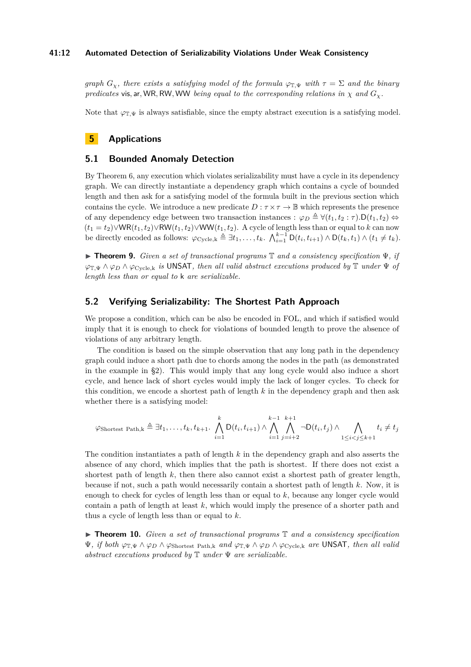## **41:12 Automated Detection of Serializability Violations Under Weak Consistency**

*graph*  $G_\gamma$ , there exists a satisfying model of the formula  $\varphi_{\mathbb{T},\Psi}$  with  $\tau = \Sigma$  and the binary *predicates* vis, ar, WR, RW, WW *being equal to the corresponding relations in*  $\chi$  *and*  $G_{\chi}$ *.* 

Note that  $\varphi_{\mathbb{T},\Psi}$  is always satisfiable, since the empty abstract execution is a satisfying model.

# **5 Applications**

## **5.1 Bounded Anomaly Detection**

By Theorem 6, any execution which violates serializability must have a cycle in its dependency graph. We can directly instantiate a dependency graph which contains a cycle of bounded length and then ask for a satisfying model of the formula built in the previous section which contains the cycle. We introduce a new predicate  $D : \tau \times \tau \to \mathbb{B}$  which represents the presence of any dependency edge between two transaction instances :  $\varphi_D \triangleq \forall (t_1, t_2 : \tau)$ .  $D(t_1, t_2) \Leftrightarrow$  $(t_1 = t_2) \vee \mathsf{WR}(t_1, t_2) \vee \mathsf{RW}(t_1, t_2) \vee \mathsf{WW}(t_1, t_2)$ . A cycle of length less than or equal to *k* can now be directly encoded as follows:  $\varphi_{\text{Cycle},k} \triangleq \exists t_1,\ldots,t_k$ .  $\bigwedge_{i=1}^{k-1} D(t_i,t_{i+1}) \wedge D(t_k,t_1) \wedge (t_1 \neq t_k)$ .

I **Theorem 9.** *Given a set of transactional programs* T *and a consistency specification* Ψ*, if ϕ*<sup>T</sup>*,*<sup>Ψ</sup> ∧ *ϕ<sup>D</sup>* ∧ *ϕ*Cycle*,*<sup>k</sup> *is* UNSAT*, then all valid abstract executions produced by* T *under* Ψ *of length less than or equal to* k *are serializable.*

# **5.2 Verifying Serializability: The Shortest Path Approach**

We propose a condition, which can be also be encoded in FOL, and which if satisfied would imply that it is enough to check for violations of bounded length to prove the absence of violations of any arbitrary length.

The condition is based on the simple observation that any long path in the dependency graph could induce a short path due to chords among the nodes in the path (as demonstrated in the example in §2). This would imply that any long cycle would also induce a short cycle, and hence lack of short cycles would imply the lack of longer cycles. To check for this condition, we encode a shortest path of length *k* in the dependency graph and then ask whether there is a satisfying model:

$$
\varphi_{\text{Shortest Path},k} \triangleq \exists t_1,\ldots,t_k,t_{k+1}.\bigwedge_{i=1}^k \mathsf{D}(t_i,t_{i+1}) \wedge \bigwedge_{i=1}^{k-1} \bigwedge_{j=i+2}^{k+1} \neg \mathsf{D}(t_i,t_j) \wedge \bigwedge_{1 \leq i < j \leq k+1} t_i \neq t_j
$$

The condition instantiates a path of length *k* in the dependency graph and also asserts the absence of any chord, which implies that the path is shortest. If there does not exist a shortest path of length *k*, then there also cannot exist a shortest path of greater length, because if not, such a path would necessarily contain a shortest path of length *k*. Now, it is enough to check for cycles of length less than or equal to *k*, because any longer cycle would contain a path of length at least *k*, which would imply the presence of a shorter path and thus a cycle of length less than or equal to *k*.

▶ **Theorem 10.** *Given a set of transactional programs*  $\mathbb{T}$  *and a consistency specification* Ψ*, if both ϕ*<sup>T</sup>*,*<sup>Ψ</sup> ∧ *ϕ<sup>D</sup>* ∧ *ϕ*Shortest Path*,*<sup>k</sup> *and ϕ*<sup>T</sup>*,*<sup>Ψ</sup> ∧ *ϕ<sup>D</sup>* ∧ *ϕ*Cycle*,*<sup>k</sup> *are* UNSAT*, then all valid abstract executions produced by* T *under* Ψ *are serializable.*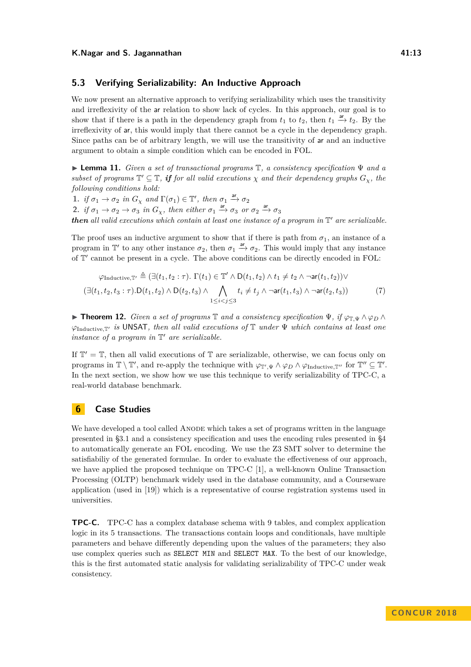## **5.3 Verifying Serializability: An Inductive Approach**

We now present an alternative approach to verifying serializability which uses the transitivity and irreflexivity of the ar relation to show lack of cycles. In this approach, our goal is to show that if there is a path in the dependency graph from  $t_1$  to  $t_2$ , then  $t_1 \stackrel{ar}{\rightarrow} t_2$ . By the irreflexivity of ar, this would imply that there cannot be a cycle in the dependency graph. Since paths can be of arbitrary length, we will use the transitivity of ar and an inductive argument to obtain a simple condition which can be encoded in FOL.

I **Lemma 11.** *Given a set of transactional programs* T*, a consistency specification* Ψ *and a* subset of programs  $\mathbb{T}' \subseteq \mathbb{T}$ , if for all valid executions  $\chi$  and their dependency graphs  $G_{\chi}$ , the *following conditions hold:*

**1.** *if*  $\sigma_1 \to \sigma_2$  *in*  $G_\chi$  *and*  $\Gamma(\sigma_1) \in \mathbb{T}'$ , *then*  $\sigma_1 \xrightarrow{\text{ar}} \sigma_2$ **2.** *if*  $\sigma_1 \to \sigma_2 \to \sigma_3$  *in*  $G_\chi$ *, then either*  $\sigma_1 \xrightarrow{ar} \sigma_3$  *or*  $\sigma_2 \xrightarrow{ar} \sigma_3$ *then* all valid executions which contain at least one instance of a program in  $\mathbb{T}'$  are serializable.

The proof uses an inductive argument to show that if there is path from  $\sigma_1$ , an instance of a program in  $\mathbb{T}'$  to any other instance  $\sigma_2$ , then  $\sigma_1 \stackrel{ar}{\rightarrow} \sigma_2$ . This would imply that any instance of  $\mathbb{T}'$  cannot be present in a cycle. The above conditions can be directly encoded in FOL:

$$
\varphi_{\text{Inductive}, \mathbb{T}'} \triangleq (\exists (t_1, t_2 : \tau). \Gamma(t_1) \in \mathbb{T}' \land D(t_1, t_2) \land t_1 \neq t_2 \land \neg \text{ar}(t_1, t_2)) \lor (\exists (t_1, t_2, t_3 : \tau). D(t_1, t_2) \land D(t_2, t_3) \land \bigwedge_{1 \leq i < j \leq 3} t_i \neq t_j \land \neg \text{ar}(t_1, t_3) \land \neg \text{ar}(t_2, t_3))
$$
\n(7)

**► Theorem 12.** *Given a set of programs*  $\mathbb{T}$  *and a consistency specification*  $\Psi$ *, if*  $\varphi_{\mathbb{T},\Psi} \wedge \varphi_D \wedge$ *ϕ*Inductive*,*T<sup>0</sup> *is* UNSAT*, then all valid executions of* T *under* Ψ *which contains at least one instance of a program in*  $\mathbb{T}'$  *are serializable.* 

If  $\mathbb{T}' = \mathbb{T}$ , then all valid executions of  $\mathbb{T}$  are serializable, otherwise, we can focus only on programs in  $\mathbb{T} \setminus \mathbb{T}'$ , and re-apply the technique with  $\varphi_{\mathbb{T}',\Psi} \wedge \varphi_D \wedge \varphi_{\text{Inductive},\mathbb{T}''}$  for  $\mathbb{T}'' \subseteq \mathbb{T}'$ . In the next section, we show how we use this technique to verify serializability of TPC-C, a real-world database benchmark.

## **6 Case Studies**

We have developed a tool called ANODE which takes a set of programs written in the language presented in §3.1 and a consistency specification and uses the encoding rules presented in §4 to automatically generate an FOL encoding. We use the Z3 SMT solver to determine the satisfiabiliy of the generated formulae. In order to evaluate the effectiveness of our approach, we have applied the proposed technique on TPC-C [\[1\]](#page-15-5), a well-known Online Transaction Processing (OLTP) benchmark widely used in the database community, and a Courseware application (used in [\[19\]](#page-16-1)) which is a representative of course registration systems used in universities.

**TPC-C.** TPC-C has a complex database schema with 9 tables, and complex application logic in its 5 transactions. The transactions contain loops and conditionals, have multiple parameters and behave differently depending upon the values of the parameters; they also use complex queries such as SELECT MIN and SELECT MAX. To the best of our knowledge, this is the first automated static analysis for validating serializability of TPC-C under weak consistency.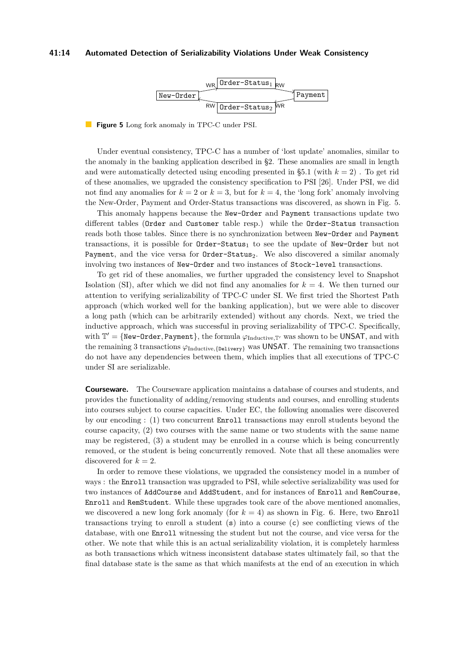#### <span id="page-13-0"></span>**41:14 Automated Detection of Serializability Violations Under Weak Consistency**



**Figure 5** Long fork anomaly in TPC-C under PSI.

Under eventual consistency, TPC-C has a number of 'lost update' anomalies, similar to the anomaly in the banking application described in §2. These anomalies are small in length and were automatically detected using encoding presented in  $\S 5.1$  (with  $k = 2$ ). To get rid of these anomalies, we upgraded the consistency specification to PSI [\[26\]](#page-17-3). Under PSI, we did not find any anomalies for  $k = 2$  or  $k = 3$ , but for  $k = 4$ , the 'long fork' anomaly involving the New-Order, Payment and Order-Status transactions was discovered, as shown in Fig. [5.](#page-13-0)

This anomaly happens because the New-Order and Payment transactions update two different tables (Order and Customer table resp.) while the Order-Status transaction reads both those tables. Since there is no synchronization between New-Order and Payment transactions, it is possible for Order-Status<sub>1</sub> to see the update of New-Order but not Payment, and the vice versa for Order-Status<sub>2</sub>. We also discovered a similar anomaly involving two instances of New-Order and two instances of Stock-level transactions.

To get rid of these anomalies, we further upgraded the consistency level to Snapshot Isolation (SI), after which we did not find any anomalies for *k* = 4. We then turned our attention to verifying serializability of TPC-C under SI. We first tried the Shortest Path approach (which worked well for the banking application), but we were able to discover a long path (which can be arbitrarily extended) without any chords. Next, we tried the inductive approach, which was successful in proving serializability of TPC-C. Specifically, with  $\mathbb{T}' = \{ \text{New-Order}, \text{Payment} \},$  the formula  $\varphi_{\text{Inductive},\mathbb{T}'}$  was shown to be UNSAT, and with the remaining 3 transactions  $\varphi_{\text{Inductive},\{\text{Delivery}\}}$  was UNSAT. The remaining two transactions do not have any dependencies between them, which implies that all executions of TPC-C under SI are serializable.

**Courseware.** The Courseware application maintains a database of courses and students, and provides the functionality of adding/removing students and courses, and enrolling students into courses subject to course capacities. Under EC, the following anomalies were discovered by our encoding : (1) two concurrent Enroll transactions may enroll students beyond the course capacity, (2) two courses with the same name or two students with the same name may be registered, (3) a student may be enrolled in a course which is being concurrently removed, or the student is being concurrently removed. Note that all these anomalies were discovered for  $k = 2$ .

In order to remove these violations, we upgraded the consistency model in a number of ways : the Enroll transaction was upgraded to PSI, while selective serializability was used for two instances of AddCourse and AddStudent, and for instances of Enroll and RemCourse, Enroll and RemStudent. While these upgrades took care of the above mentioned anomalies, we discovered a new long fork anomaly (for  $k = 4$ ) as shown in Fig. [6.](#page-14-0) Here, two **Enroll** transactions trying to enroll a student  $(s)$  into a course  $(c)$  see conflicting views of the database, with one Enroll witnessing the student but not the course, and vice versa for the other. We note that while this is an actual serializability violation, it is completely harmless as both transactions which witness inconsistent database states ultimately fail, so that the final database state is the same as that which manifests at the end of an execution in which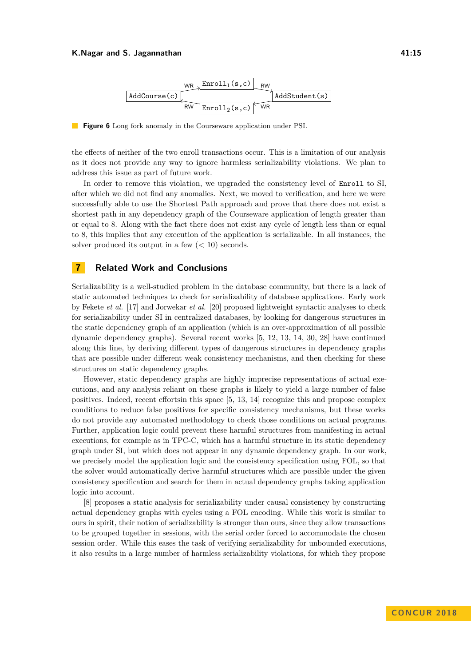#### <span id="page-14-0"></span>**K.Nagar and S. Jagannathan 41:15**



**The Second Service Figure 6** Long fork anomaly in the Courseware application under PSI.

the effects of neither of the two enroll transactions occur. This is a limitation of our analysis as it does not provide any way to ignore harmless serializability violations. We plan to address this issue as part of future work.

In order to remove this violation, we upgraded the consistency level of Enroll to SI, after which we did not find any anomalies. Next, we moved to verification, and here we were successfully able to use the Shortest Path approach and prove that there does not exist a shortest path in any dependency graph of the Courseware application of length greater than or equal to 8. Along with the fact there does not exist any cycle of length less than or equal to 8, this implies that any execution of the application is serializable. In all instances, the solver produced its output in a few  $(< 10$ ) seconds.

## **7 Related Work and Conclusions**

Serializability is a well-studied problem in the database community, but there is a lack of static automated techniques to check for serializability of database applications. Early work by Fekete *et al.* [\[17\]](#page-16-6) and Jorwekar *et al.* [\[20\]](#page-16-7) proposed lightweight syntactic analyses to check for serializability under SI in centralized databases, by looking for dangerous structures in the static dependency graph of an application (which is an over-approximation of all possible dynamic dependency graphs). Several recent works [\[5,](#page-15-1) [12,](#page-16-2) [13,](#page-16-8) [14,](#page-16-9) [30,](#page-17-6) [28\]](#page-17-7) have continued along this line, by deriving different types of dangerous structures in dependency graphs that are possible under different weak consistency mechanisms, and then checking for these structures on static dependency graphs.

However, static dependency graphs are highly imprecise representations of actual executions, and any analysis reliant on these graphs is likely to yield a large number of false positives. Indeed, recent effortsin this space [\[5,](#page-15-1) [13,](#page-16-8) [14\]](#page-16-9) recognize this and propose complex conditions to reduce false positives for specific consistency mechanisms, but these works do not provide any automated methodology to check those conditions on actual programs. Further, application logic could prevent these harmful structures from manifesting in actual executions, for example as in TPC-C, which has a harmful structure in its static dependency graph under SI, but which does not appear in any dynamic dependency graph. In our work, we precisely model the application logic and the consistency specification using FOL, so that the solver would automatically derive harmful structures which are possible under the given consistency specification and search for them in actual dependency graphs taking application logic into account.

[\[8\]](#page-15-6) proposes a static analysis for serializability under causal consistency by constructing actual dependency graphs with cycles using a FOL encoding. While this work is similar to ours in spirit, their notion of serializability is stronger than ours, since they allow transactions to be grouped together in sessions, with the serial order forced to accommodate the chosen session order. While this eases the task of verifying serializability for unbounded executions, it also results in a large number of harmless serializability violations, for which they propose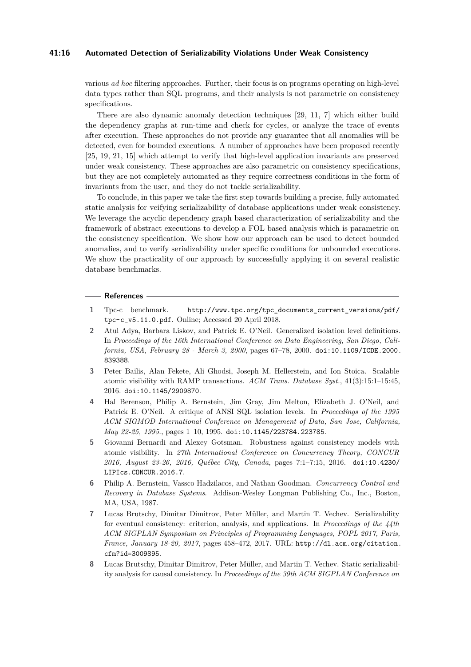## **41:16 Automated Detection of Serializability Violations Under Weak Consistency**

various *ad hoc* filtering approaches. Further, their focus is on programs operating on high-level data types rather than SQL programs, and their analysis is not parametric on consistency specifications.

There are also dynamic anomaly detection techniques [\[29,](#page-17-8) [11,](#page-16-10) [7\]](#page-15-7) which either build the dependency graphs at run-time and check for cycles, or analyze the trace of events after execution. These approaches do not provide any guarantee that all anomalies will be detected, even for bounded executions. A number of approaches have been proposed recently [\[25,](#page-17-9) [19,](#page-16-1) [21,](#page-17-10) [15\]](#page-16-11) which attempt to verify that high-level application invariants are preserved under weak consistency. These approaches are also parametric on consistency specifications, but they are not completely automated as they require correctness conditions in the form of invariants from the user, and they do not tackle serializability.

To conclude, in this paper we take the first step towards building a precise, fully automated static analysis for veifying serializability of database applications under weak consistency. We leverage the acyclic dependency graph based characterization of serializability and the framework of abstract executions to develop a FOL based analysis which is parametric on the consistency specification. We show how our approach can be used to detect bounded anomalies, and to verify serializability under specific conditions for unbounded executions. We show the practicality of our approach by successfully applying it on several realistic database benchmarks.

#### **References**

- <span id="page-15-5"></span>**1** Tpc-c benchmark. [http://www.tpc.org/tpc\\_documents\\_current\\_versions/pdf/](http://www.tpc.org/tpc_documents_current_versions/pdf/tpc-c_v5.11.0.pdf) [tpc-c\\_v5.11.0.pdf](http://www.tpc.org/tpc_documents_current_versions/pdf/tpc-c_v5.11.0.pdf). Online; Accessed 20 April 2018.
- <span id="page-15-0"></span>**2** Atul Adya, Barbara Liskov, and Patrick E. O'Neil. Generalized isolation level definitions. In *Proceedings of the 16th International Conference on Data Engineering, San Diego, California, USA, February 28 - March 3, 2000*, pages 67–78, 2000. [doi:10.1109/ICDE.2000.](http://dx.doi.org/10.1109/ICDE.2000.839388) [839388](http://dx.doi.org/10.1109/ICDE.2000.839388).
- <span id="page-15-2"></span>**3** Peter Bailis, Alan Fekete, Ali Ghodsi, Joseph M. Hellerstein, and Ion Stoica. Scalable atomic visibility with RAMP transactions. *ACM Trans. Database Syst.*, 41(3):15:1–15:45, 2016. [doi:10.1145/2909870](http://dx.doi.org/10.1145/2909870).
- <span id="page-15-3"></span>**4** Hal Berenson, Philip A. Bernstein, Jim Gray, Jim Melton, Elizabeth J. O'Neil, and Patrick E. O'Neil. A critique of ANSI SQL isolation levels. In *Proceedings of the 1995 ACM SIGMOD International Conference on Management of Data, San Jose, California, May 22-25, 1995.*, pages 1–10, 1995. [doi:10.1145/223784.223785](http://dx.doi.org/10.1145/223784.223785).
- <span id="page-15-1"></span>**5** Giovanni Bernardi and Alexey Gotsman. Robustness against consistency models with atomic visibility. In *27th International Conference on Concurrency Theory, CONCUR 2016, August 23-26, 2016, Québec City, Canada*, pages 7:1–7:15, 2016. [doi:10.4230/](http://dx.doi.org/10.4230/LIPIcs.CONCUR.2016.7) [LIPIcs.CONCUR.2016.7](http://dx.doi.org/10.4230/LIPIcs.CONCUR.2016.7).
- <span id="page-15-4"></span>**6** Philip A. Bernstein, Vassco Hadzilacos, and Nathan Goodman. *Concurrency Control and Recovery in Database Systems*. Addison-Wesley Longman Publishing Co., Inc., Boston, MA, USA, 1987.
- <span id="page-15-7"></span>**7** Lucas Brutschy, Dimitar Dimitrov, Peter Müller, and Martin T. Vechev. Serializability for eventual consistency: criterion, analysis, and applications. In *Proceedings of the 44th ACM SIGPLAN Symposium on Principles of Programming Languages, POPL 2017, Paris, France, January 18-20, 2017*, pages 458–472, 2017. URL: [http://dl.acm.org/citation.](http://dl.acm.org/citation.cfm?id=3009895) [cfm?id=3009895](http://dl.acm.org/citation.cfm?id=3009895).
- <span id="page-15-6"></span>**8** Lucas Brutschy, Dimitar Dimitrov, Peter Müller, and Martin T. Vechev. Static serializability analysis for causal consistency. In *Proceedings of the 39th ACM SIGPLAN Conference on*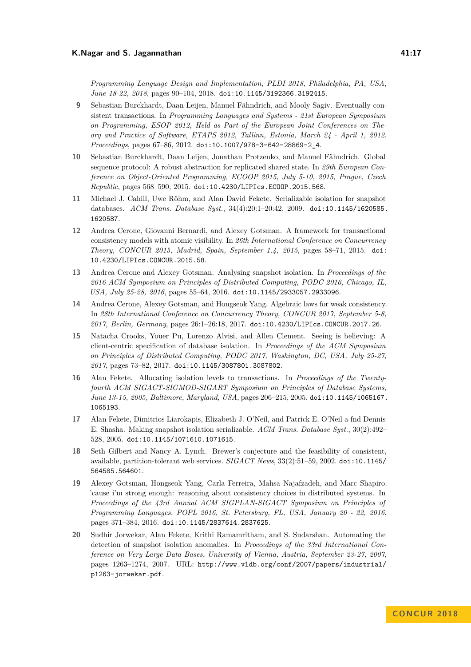- <span id="page-16-3"></span>**9** Sebastian Burckhardt, Daan Leijen, Manuel Fähndrich, and Mooly Sagiv. Eventually consistent transactions. In *Programming Languages and Systems - 21st European Symposium on Programming, ESOP 2012, Held as Part of the European Joint Conferences on Theory and Practice of Software, ETAPS 2012, Tallinn, Estonia, March 24 - April 1, 2012. Proceedings*, pages 67–86, 2012. [doi:10.1007/978-3-642-28869-2\\_4](http://dx.doi.org/10.1007/978-3-642-28869-2_4).
- <span id="page-16-5"></span>**10** Sebastian Burckhardt, Daan Leijen, Jonathan Protzenko, and Manuel Fähndrich. Global sequence protocol: A robust abstraction for replicated shared state. In *29th European Conference on Object-Oriented Programming, ECOOP 2015, July 5-10, 2015, Prague, Czech Republic*, pages 568–590, 2015. [doi:10.4230/LIPIcs.ECOOP.2015.568](http://dx.doi.org/10.4230/LIPIcs.ECOOP.2015.568).
- <span id="page-16-10"></span>**11** Michael J. Cahill, Uwe Röhm, and Alan David Fekete. Serializable isolation for snapshot databases. *ACM Trans. Database Syst.*, 34(4):20:1–20:42, 2009. [doi:10.1145/1620585.](http://dx.doi.org/10.1145/1620585.1620587) [1620587](http://dx.doi.org/10.1145/1620585.1620587).
- <span id="page-16-2"></span>**12** Andrea Cerone, Giovanni Bernardi, and Alexey Gotsman. A framework for transactional consistency models with atomic visibility. In *26th International Conference on Concurrency Theory, CONCUR 2015, Madrid, Spain, September 1.4, 2015*, pages 58–71, 2015. [doi:](http://dx.doi.org/10.4230/LIPIcs.CONCUR.2015.58) [10.4230/LIPIcs.CONCUR.2015.58](http://dx.doi.org/10.4230/LIPIcs.CONCUR.2015.58).
- <span id="page-16-8"></span>**13** Andrea Cerone and Alexey Gotsman. Analysing snapshot isolation. In *Proceedings of the 2016 ACM Symposium on Principles of Distributed Computing, PODC 2016, Chicago, IL, USA, July 25-28, 2016*, pages 55–64, 2016. [doi:10.1145/2933057.2933096](http://dx.doi.org/10.1145/2933057.2933096).
- <span id="page-16-9"></span>**14** Andrea Cerone, Alexey Gotsman, and Hongseok Yang. Algebraic laws for weak consistency. In *28th International Conference on Concurrency Theory, CONCUR 2017, September 5-8, 2017, Berlin, Germany*, pages 26:1–26:18, 2017. [doi:10.4230/LIPIcs.CONCUR.2017.26](http://dx.doi.org/10.4230/LIPIcs.CONCUR.2017.26).
- <span id="page-16-11"></span>**15** Natacha Crooks, Youer Pu, Lorenzo Alvisi, and Allen Clement. Seeing is believing: A client-centric specification of database isolation. In *Proceedings of the ACM Symposium on Principles of Distributed Computing, PODC 2017, Washington, DC, USA, July 25-27, 2017*, pages 73–82, 2017. [doi:10.1145/3087801.3087802](http://dx.doi.org/10.1145/3087801.3087802).
- <span id="page-16-4"></span>**16** Alan Fekete. Allocating isolation levels to transactions. In *Proceedings of the Twentyfourth ACM SIGACT-SIGMOD-SIGART Symposium on Principles of Database Systems, June 13-15, 2005, Baltimore, Maryland, USA*, pages 206–215, 2005. [doi:10.1145/1065167.](http://dx.doi.org/10.1145/1065167.1065193) [1065193](http://dx.doi.org/10.1145/1065167.1065193).
- <span id="page-16-6"></span>**17** Alan Fekete, Dimitrios Liarokapis, Elizabeth J. O'Neil, and Patrick E. O'Neil a fnd Dennis E. Shasha. Making snapshot isolation serializable. *ACM Trans. Database Syst.*, 30(2):492– 528, 2005. [doi:10.1145/1071610.1071615](http://dx.doi.org/10.1145/1071610.1071615).
- <span id="page-16-0"></span>**18** Seth Gilbert and Nancy A. Lynch. Brewer's conjecture and the feasibility of consistent, available, partition-tolerant web services. *SIGACT News*, 33(2):51–59, 2002. [doi:10.1145/](http://dx.doi.org/10.1145/564585.564601) [564585.564601](http://dx.doi.org/10.1145/564585.564601).
- <span id="page-16-1"></span>**19** Alexey Gotsman, Hongseok Yang, Carla Ferreira, Mahsa Najafzadeh, and Marc Shapiro. 'cause i'm strong enough: reasoning about consistency choices in distributed systems. In *Proceedings of the 43rd Annual ACM SIGPLAN-SIGACT Symposium on Principles of Programming Languages, POPL 2016, St. Petersburg, FL, USA, January 20 - 22, 2016*, pages 371–384, 2016. [doi:10.1145/2837614.2837625](http://dx.doi.org/10.1145/2837614.2837625).
- <span id="page-16-7"></span>**20** Sudhir Jorwekar, Alan Fekete, Krithi Ramamritham, and S. Sudarshan. Automating the detection of snapshot isolation anomalies. In *Proceedings of the 33rd International Conference on Very Large Data Bases, University of Vienna, Austria, September 23-27, 2007*, pages 1263–1274, 2007. URL: [http://www.vldb.org/conf/2007/papers/industrial/](http://www.vldb.org/conf/2007/papers/industrial/p1263-jorwekar.pdf) [p1263-jorwekar.pdf](http://www.vldb.org/conf/2007/papers/industrial/p1263-jorwekar.pdf).